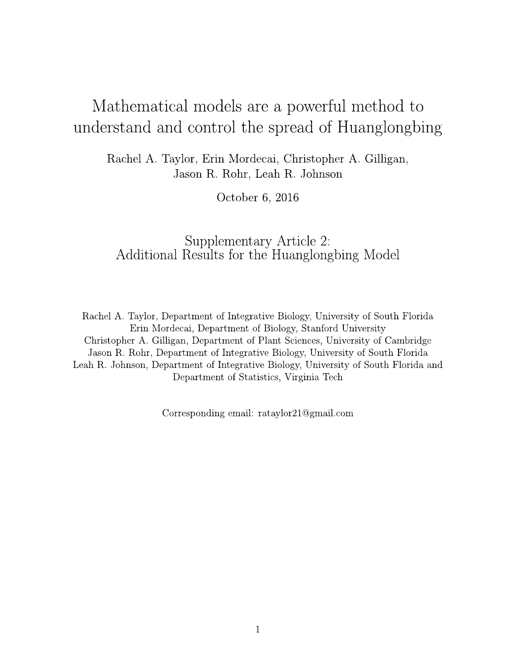## Mathematical models are a powerful method to understand and control the spread of Huanglongbing

Rachel A. Taylor, Erin Mordecai, Christopher A. Gilligan, Jason R. Rohr, Leah R. Johnson

October 6, 2016

## Supplementary Article 2: Additional Results for the Huanglongbing Model

Rachel A. Taylor, Department of Integrative Biology, University of South Florida Erin Mordecai, Department of Biology, Stanford University Christopher A. Gilligan, Department of Plant Sciences, University of Cambridge Jason R. Rohr, Department of Integrative Biology, University of South Florida Leah R. Johnson, Department of Integrative Biology, University of South Florida and Department of Statistics, Virginia Tech

Corresponding email: rataylor21@gmail.com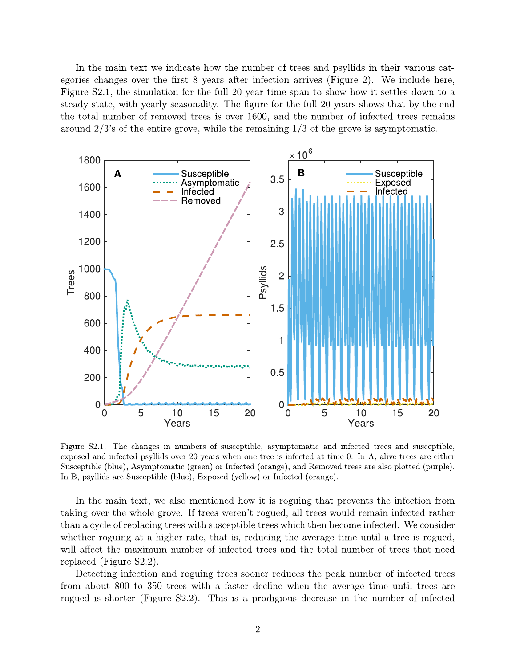In the main text we indicate how the number of trees and psyllids in their various categories changes over the first 8 years after infection arrives (Figure 2). We include here, Figure S2.1, the simulation for the full 20 year time span to show how it settles down to a steady state, with yearly seasonality. The figure for the full 20 years shows that by the end the total number of removed trees is over 1600, and the number of infected trees remains around  $2/3$ 's of the entire grove, while the remaining  $1/3$  of the grove is asymptomatic.



Figure S2.1: The changes in numbers of susceptible, asymptomatic and infected trees and susceptible, exposed and infected psyllids over 20 years when one tree is infected at time 0. In A, alive trees are either Susceptible (blue), Asymptomatic (green) or Infected (orange), and Removed trees are also plotted (purple). In B, psyllids are Susceptible (blue), Exposed (yellow) or Infected (orange).

In the main text, we also mentioned how it is roguing that prevents the infection from taking over the whole grove. If trees weren't rogued, all trees would remain infected rather than a cycle of replacing trees with susceptible trees which then become infected. We consider whether roguing at a higher rate, that is, reducing the average time until a tree is rogued, will affect the maximum number of infected trees and the total number of trees that need replaced (Figure S2.2).

Detecting infection and roguing trees sooner reduces the peak number of infected trees from about 800 to 350 trees with a faster decline when the average time until trees are rogued is shorter (Figure S2.2). This is a prodigious decrease in the number of infected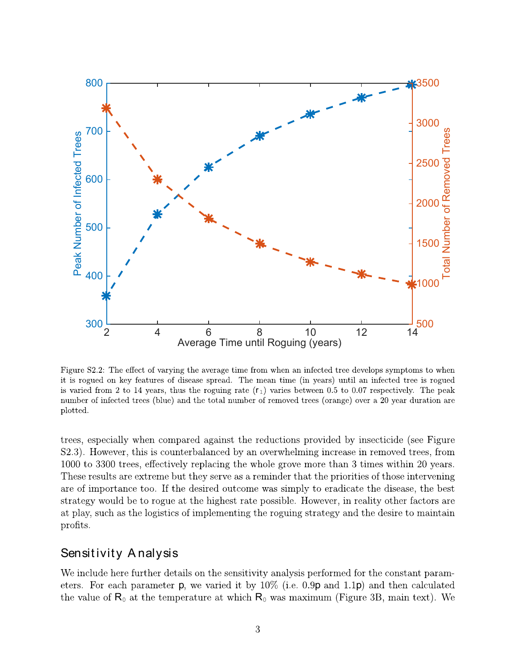

is varied from 2 to 14 years, thus the roguing rate  $(r_1)$  varies between 0.5 to 0.07 respectively. The peak

**Example 19** Average Time until Roguing (years)<br>
Figure 82.2: The effect of varying the average time from when an infected tree develops symptot<br>
it is regued on key features of disease spread. The mean time (in years) un

eters. For each parameter **p**, we varied it by  $10\%$  (i.e. 0.9**p** and 1.1**p**) and then calculated the value of  $\mathsf{R}_{0}$  at the temperature at which  $\mathsf{R}_{0}$  was maximum (Figure 3B, main text). We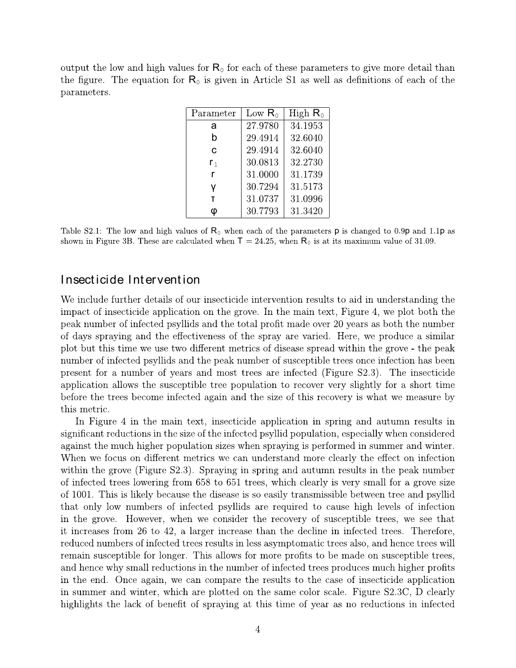output the low and high values for  $R_0$  for each of these parameters to give more detail than the figure. The equation for  $R_0$  is given in Article S1 as well as definitions of each of the parameters.

| Parameter      | Low $R_0$ | High $R_0$ |
|----------------|-----------|------------|
| a              | 27.9780   | 34.1953    |
| b              | 29.4914   | 32.6040    |
| C              | 29.4914   | 32.6040    |
| r <sub>1</sub> | 30.0813   | 32.2730    |
| r              | 31.0000   | 31.1739    |
| ۷              | 30.7294   | 31.5173    |
| т              | 31.0737   | 31.0996    |
| O              | 30.7793   | 31.3420    |

Table S2.1: The low and high values of  $R_0$  when each of the parameters **p** is changed to 0.9**p** and 1.1**p** as shown in Figure 3B. These are calculated when  $T = 24.25$ , when  $R_0$  is at its maximum value of 31.09.

## Insecticide Intervention

We include further details of our insecticide intervention results to aid in understanding the impact of insecticide application on the grove. In the main text, Figure 4, we plot both the peak number of infected psyllids and the total profit made over 20 years as both the number of days spraying and the effectiveness of the spray are varied. Here, we produce a similar plot but this time we use two different metrics of disease spread within the grove - the peak number of infected psyllids and the peak number of susceptible trees once infection has been present for a number of years and most trees are infected (Figure S2.3). The insecticide application allows the susceptible tree population to recover very slightly for a short time before the trees become infected again and the size of this recovery is what we measure by this metric.

In Figure 4 in the main text, insecticide application in spring and autumn results in significant reductions in the size of the infected psyllid population, especially when considered against the much higher population sizes when spraying is performed in summer and winter. When we focus on different metrics we can understand more clearly the effect on infection within the grove (Figure S2.3). Spraying in spring and autumn results in the peak number of infected trees lowering from 658 to 651 trees, which clearly is very small for a grove size of 1001. This is likely because the disease is so easily transmissible between tree and psyllid that only low numbers of infected psyllids are required to cause high levels of infection in the grove. However, when we consider the recovery of susceptible trees, we see that it increases from 26 to 42, a larger increase than the decline in infected trees. Therefore, reduced numbers of infected trees results in less asymptomatic trees also, and hence trees will remain susceptible for longer. This allows for more profits to be made on susceptible trees, and hence why small reductions in the number of infected trees produces much higher profits in the end. Once again, we can compare the results to the case of insecticide application in summer and winter, which are plotted on the same color scale. Figure S2.3C, D clearly highlights the lack of benefit of spraying at this time of year as no reductions in infected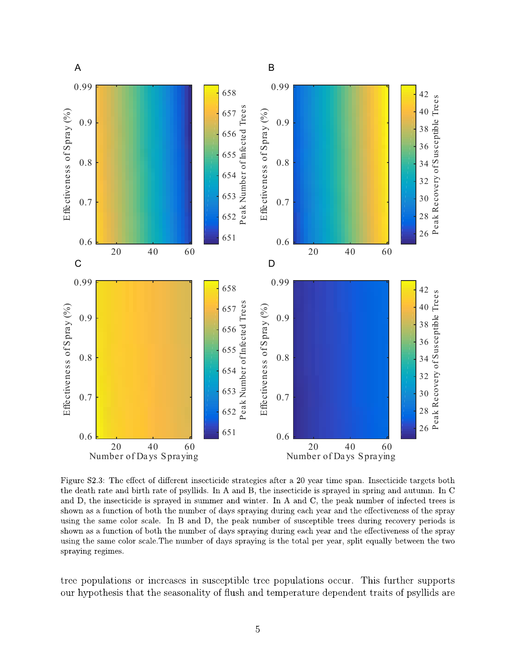

using the same color scale. In B and D, the peak number of susceptible trees during recovery periods is shown as a function of both the number of days spraying during each year and the effectiveness of the spray using the same color scale. The number of days spraying is the total per year, split equally between the two spraying regimes.

tree populations or increases in susceptible tree populations occur. This further supports our hypothesis that the seasonality of flush and temperature dependent traits of psyllids are